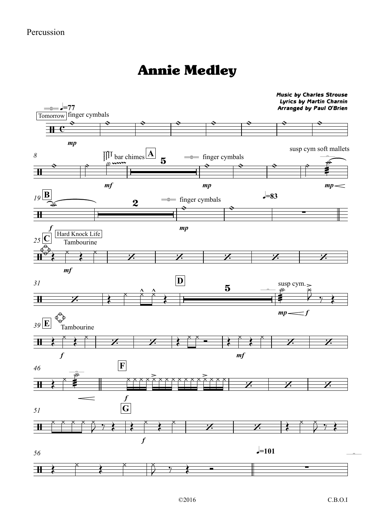## Annie Medley